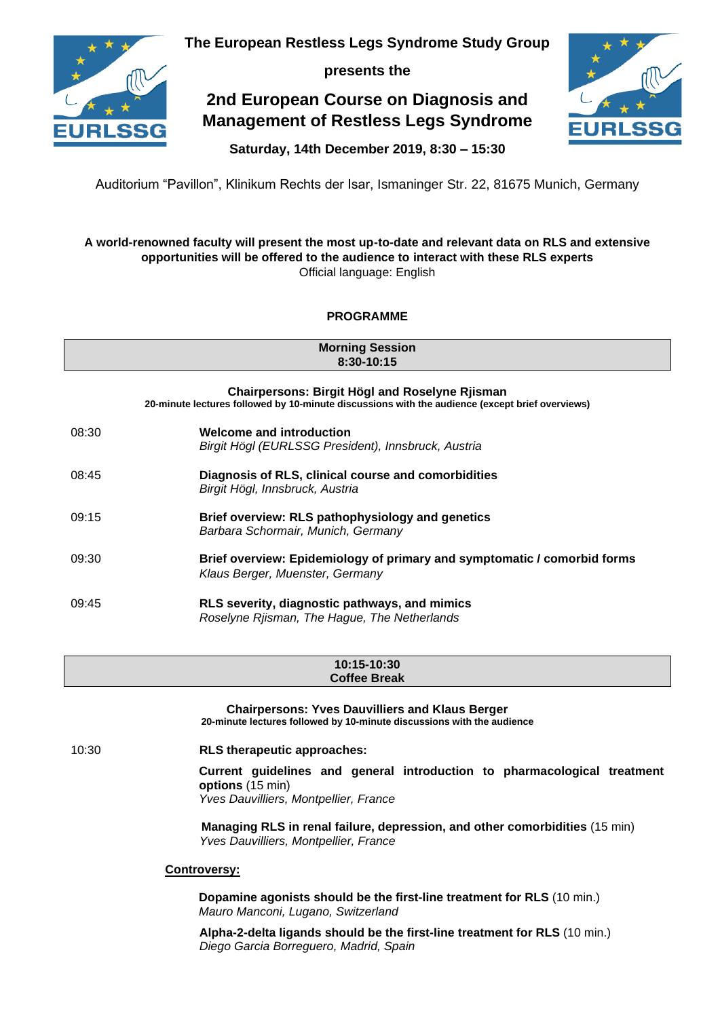

**The European Restless Legs Syndrome Study Group**

**presents the**

# **2nd European Course on Diagnosis and Management of Restless Legs Syndrome**



**Saturday, 14th December 2019, 8:30 – 15:30**

Auditorium "Pavillon", Klinikum Rechts der Isar, Ismaninger Str. 22, 81675 Munich, Germany

## **A world-renowned faculty will present the most up-to-date and relevant data on RLS and extensive opportunities will be offered to the audience to interact with these RLS experts** Official language: English

# **PROGRAMME**

**Morning Session 8:30-10:15**

| <b>Chairpersons: Birgit Högl and Roselyne Rjisman</b><br>20-minute lectures followed by 10-minute discussions with the audience (except brief overviews) |                                                                                                             |  |
|----------------------------------------------------------------------------------------------------------------------------------------------------------|-------------------------------------------------------------------------------------------------------------|--|
| 08:30                                                                                                                                                    | <b>Welcome and introduction</b><br>Birgit Högl (EURLSSG President), Innsbruck, Austria                      |  |
| 08:45                                                                                                                                                    | Diagnosis of RLS, clinical course and comorbidities<br>Birgit Högl, Innsbruck, Austria                      |  |
| 09:15                                                                                                                                                    | Brief overview: RLS pathophysiology and genetics<br>Barbara Schormair, Munich, Germany                      |  |
| 09:30                                                                                                                                                    | Brief overview: Epidemiology of primary and symptomatic / comorbid forms<br>Klaus Berger, Muenster, Germany |  |
| 09:45                                                                                                                                                    | RLS severity, diagnostic pathways, and mimics<br>Roselyne Riisman, The Hague, The Netherlands               |  |

#### **10:15-10:30 Coffee Break**

**Chairpersons: Yves Dauvilliers and Klaus Berger 20-minute lectures followed by 10-minute discussions with the audience** 10:30 **RLS therapeutic approaches: Current guidelines and general introduction to pharmacological treatment options** (15 min) *Yves Dauvilliers, Montpellier, France* **Managing RLS in renal failure, depression, and other comorbidities** (15 min) *Yves Dauvilliers, Montpellier, France* **Controversy:** 

> **Dopamine agonists should be the first-line treatment for RLS** (10 min.) *Mauro Manconi, Lugano, Switzerland*

**Alpha-2-delta ligands should be the first-line treatment for RLS** (10 min.) *Diego Garcia Borreguero, Madrid, Spain*